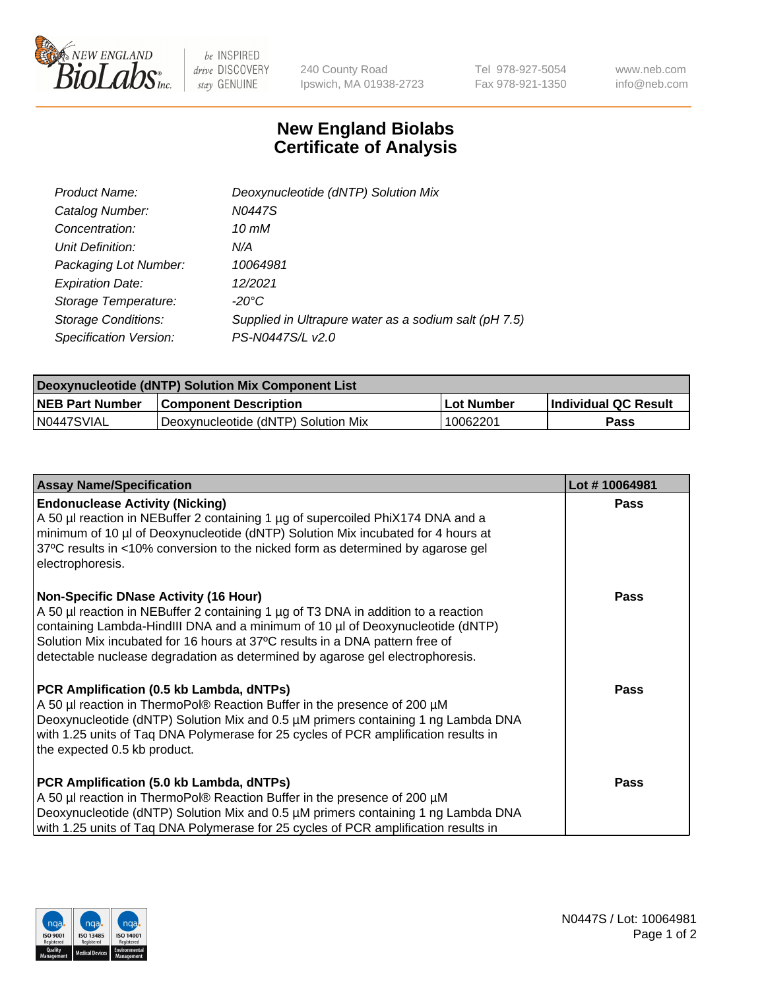

 $be$  INSPIRED drive DISCOVERY stay GENUINE

240 County Road Ipswich, MA 01938-2723 Tel 978-927-5054 Fax 978-921-1350 www.neb.com info@neb.com

## **New England Biolabs Certificate of Analysis**

| Product Name:              | Deoxynucleotide (dNTP) Solution Mix                   |
|----------------------------|-------------------------------------------------------|
| Catalog Number:            | N0447S                                                |
| Concentration:             | 10 mM                                                 |
| Unit Definition:           | N/A                                                   |
| Packaging Lot Number:      | 10064981                                              |
| <b>Expiration Date:</b>    | 12/2021                                               |
| Storage Temperature:       | $-20^{\circ}$ C                                       |
| <b>Storage Conditions:</b> | Supplied in Ultrapure water as a sodium salt (pH 7.5) |
| Specification Version:     | PS-N0447S/L v2.0                                      |

| Deoxynucleotide (dNTP) Solution Mix Component List |                                     |              |                             |  |
|----------------------------------------------------|-------------------------------------|--------------|-----------------------------|--|
| <b>NEB Part Number</b>                             | <b>Component Description</b>        | l Lot Number | <b>Individual QC Result</b> |  |
| N0447SVIAL                                         | Deoxynucleotide (dNTP) Solution Mix | 10062201     | Pass                        |  |

| <b>Assay Name/Specification</b>                                                                                                                                                                                                                                                                                                                                                | Lot #10064981 |
|--------------------------------------------------------------------------------------------------------------------------------------------------------------------------------------------------------------------------------------------------------------------------------------------------------------------------------------------------------------------------------|---------------|
| <b>Endonuclease Activity (Nicking)</b><br>A 50 µl reaction in NEBuffer 2 containing 1 µg of supercoiled PhiX174 DNA and a<br>minimum of 10 µl of Deoxynucleotide (dNTP) Solution Mix incubated for 4 hours at<br>37°C results in <10% conversion to the nicked form as determined by agarose gel<br>electrophoresis.                                                           | <b>Pass</b>   |
| Non-Specific DNase Activity (16 Hour)<br>A 50 µl reaction in NEBuffer 2 containing 1 µg of T3 DNA in addition to a reaction<br>containing Lambda-HindIII DNA and a minimum of 10 µl of Deoxynucleotide (dNTP)<br>Solution Mix incubated for 16 hours at 37°C results in a DNA pattern free of<br>detectable nuclease degradation as determined by agarose gel electrophoresis. | <b>Pass</b>   |
| PCR Amplification (0.5 kb Lambda, dNTPs)<br>A 50 µl reaction in ThermoPol® Reaction Buffer in the presence of 200 µM<br>Deoxynucleotide (dNTP) Solution Mix and 0.5 µM primers containing 1 ng Lambda DNA<br>with 1.25 units of Tag DNA Polymerase for 25 cycles of PCR amplification results in<br>the expected 0.5 kb product.                                               | <b>Pass</b>   |
| PCR Amplification (5.0 kb Lambda, dNTPs)<br>A 50 µl reaction in ThermoPol® Reaction Buffer in the presence of 200 µM<br>Deoxynucleotide (dNTP) Solution Mix and 0.5 µM primers containing 1 ng Lambda DNA<br>with 1.25 units of Taq DNA Polymerase for 25 cycles of PCR amplification results in                                                                               | <b>Pass</b>   |